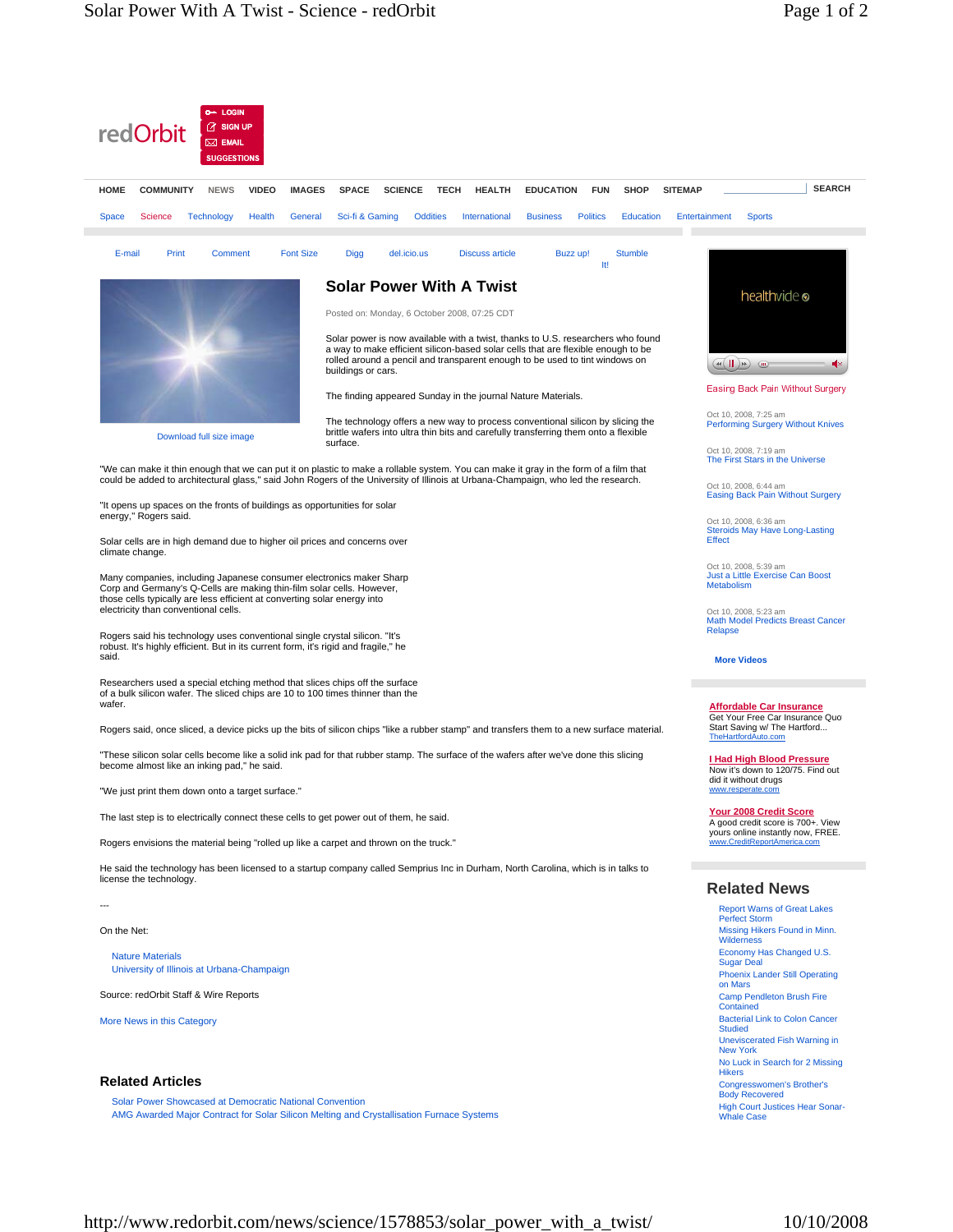